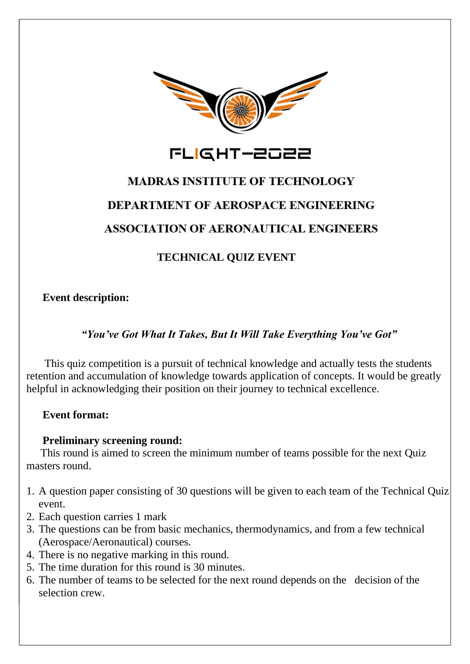

# **MADRAS INSTITUTE OF TECHNOLOGY DEPARTMENT OF AEROSPACE ENGINEERING**

# **ASSOCIATION OF AERONAUTICAL ENGINEERS**

# **TECHNICAL QUIZ EVENT**

**Event description:**

## *"You've Got What It Takes, But It Will Take Everything You've Got"*

This quiz competition is a pursuit of technical knowledge and actually tests the students retention and accumulation of knowledge towards application of concepts. It would be greatly helpful in acknowledging their position on their journey to technical excellence.

## **Event format:**

### **Preliminary screening round:**

This round is aimed to screen the minimum number of teams possible for the next Quiz masters round.

- 1. A question paper consisting of 30 questions will be given to each team of the Technical Quiz event.
- 2. Each question carries 1 mark
- 3. The questions can be from basic mechanics, thermodynamics, and from a few technical (Aerospace/Aeronautical) courses.
- 4. There is no negative marking in this round.
- 5. The time duration for this round is 30 minutes.
- 6. The number of teams to be selected for the next round depends on the decision of the selection crew.